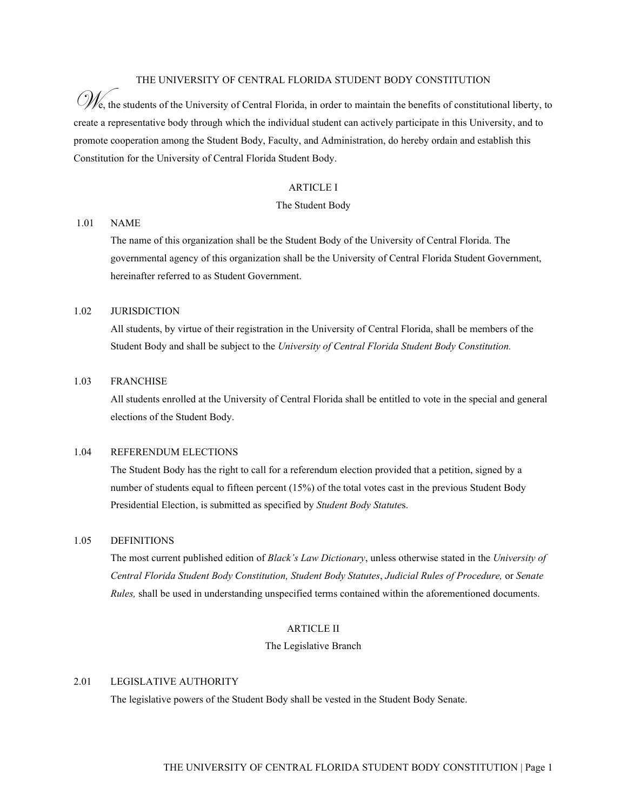### THE UNIVERSITY OF CENTRAL FLORIDA STUDENT BODY CONSTITUTION

 $\mathscr{U}_e$ , the students of the University of Central Florida, in order to maintain the benefits of constitutional liberty, to create a representative body through which the individual student can actively participate in this University, and to promote cooperation among the Student Body, Faculty, and Administration, do hereby ordain and establish this Constitution for the University of Central Florida Student Body.

## ARTICLE I

### The Student Body

### 1.01 NAME

The name of this organization shall be the Student Body of the University of Central Florida. The governmental agency of this organization shall be the University of Central Florida Student Government, hereinafter referred to as Student Government.

## 1.02 JURISDICTION

All students, by virtue of their registration in the University of Central Florida, shall be members of the Student Body and shall be subject to the *University of Central Florida Student Body Constitution.* 

## 1.03 FRANCHISE

All students enrolled at the University of Central Florida shall be entitled to vote in the special and general elections of the Student Body.

### 1.04 REFERENDUM ELECTIONS

The Student Body has the right to call for a referendum election provided that a petition, signed by a number of students equal to fifteen percent (15%) of the total votes cast in the previous Student Body Presidential Election, is submitted as specified by *Student Body Statute*s.

#### 1.05 DEFINITIONS

The most current published edition of *Black's Law Dictionary*, unless otherwise stated in the *University of Central Florida Student Body Constitution, Student Body Statutes*, *Judicial Rules of Procedure,* or *Senate Rules,* shall be used in understanding unspecified terms contained within the aforementioned documents.

#### ARTICLE II

## The Legislative Branch

# 2.01 LEGISLATIVE AUTHORITY

The legislative powers of the Student Body shall be vested in the Student Body Senate.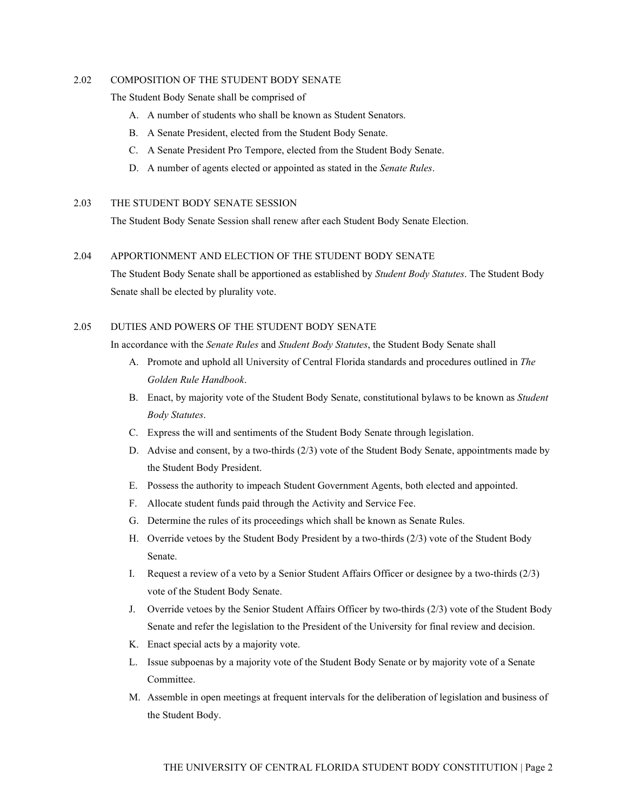## 2.02 COMPOSITION OF THE STUDENT BODY SENATE

The Student Body Senate shall be comprised of

- A. A number of students who shall be known as Student Senators.
- B. A Senate President, elected from the Student Body Senate.
- C. A Senate President Pro Tempore, elected from the Student Body Senate.
- D. A number of agents elected or appointed as stated in the *Senate Rules*.

## 2.03 THE STUDENT BODY SENATE SESSION

The Student Body Senate Session shall renew after each Student Body Senate Election.

### 2.04 APPORTIONMENT AND ELECTION OF THE STUDENT BODY SENATE

The Student Body Senate shall be apportioned as established by *Student Body Statutes*. The Student Body Senate shall be elected by plurality vote.

# 2.05 DUTIES AND POWERS OF THE STUDENT BODY SENATE

In accordance with the *Senate Rules* and *Student Body Statutes*, the Student Body Senate shall

- A. Promote and uphold all University of Central Florida standards and procedures outlined in *The Golden Rule Handbook*.
- B. Enact, by majority vote of the Student Body Senate, constitutional bylaws to be known as *Student Body Statutes*.
- C. Express the will and sentiments of the Student Body Senate through legislation.
- D. Advise and consent, by a two-thirds (2/3) vote of the Student Body Senate, appointments made by the Student Body President.
- E. Possess the authority to impeach Student Government Agents, both elected and appointed.
- F. Allocate student funds paid through the Activity and Service Fee.
- G. Determine the rules of its proceedings which shall be known as Senate Rules.
- H. Override vetoes by the Student Body President by a two-thirds (2/3) vote of the Student Body Senate.
- I. Request a review of a veto by a Senior Student Affairs Officer or designee by a two-thirds (2/3) vote of the Student Body Senate.
- J. Override vetoes by the Senior Student Affairs Officer by two-thirds (2/3) vote of the Student Body Senate and refer the legislation to the President of the University for final review and decision.
- K. Enact special acts by a majority vote.
- L. Issue subpoenas by a majority vote of the Student Body Senate or by majority vote of a Senate Committee.
- M. Assemble in open meetings at frequent intervals for the deliberation of legislation and business of the Student Body.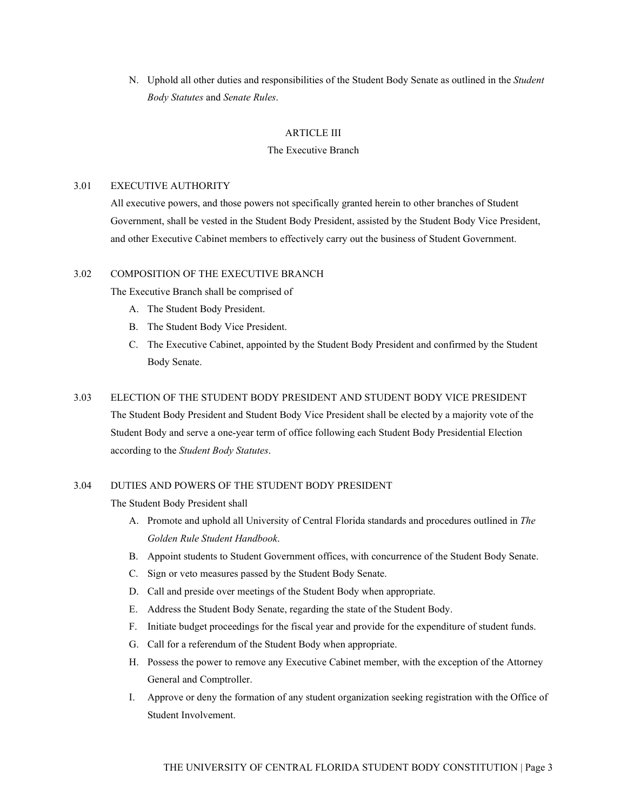N. Uphold all other duties and responsibilities of the Student Body Senate as outlined in the *Student Body Statutes* and *Senate Rules*.

## ARTICLE III

## The Executive Branch

# 3.01 EXECUTIVE AUTHORITY

All executive powers, and those powers not specifically granted herein to other branches of Student Government, shall be vested in the Student Body President, assisted by the Student Body Vice President, and other Executive Cabinet members to effectively carry out the business of Student Government.

# 3.02 COMPOSITION OF THE EXECUTIVE BRANCH

The Executive Branch shall be comprised of

- A. The Student Body President.
- B. The Student Body Vice President.
- C. The Executive Cabinet, appointed by the Student Body President and confirmed by the Student Body Senate.

### 3.03 ELECTION OF THE STUDENT BODY PRESIDENT AND STUDENT BODY VICE PRESIDENT

The Student Body President and Student Body Vice President shall be elected by a majority vote of the Student Body and serve a one-year term of office following each Student Body Presidential Election according to the *Student Body Statutes*.

# 3.04 DUTIES AND POWERS OF THE STUDENT BODY PRESIDENT

The Student Body President shall

- A. Promote and uphold all University of Central Florida standards and procedures outlined in *The Golden Rule Student Handbook*.
- B. Appoint students to Student Government offices, with concurrence of the Student Body Senate.
- C. Sign or veto measures passed by the Student Body Senate.
- D. Call and preside over meetings of the Student Body when appropriate.
- E. Address the Student Body Senate, regarding the state of the Student Body.
- F. Initiate budget proceedings for the fiscal year and provide for the expenditure of student funds.
- G. Call for a referendum of the Student Body when appropriate.
- H. Possess the power to remove any Executive Cabinet member, with the exception of the Attorney General and Comptroller.
- I. Approve or deny the formation of any student organization seeking registration with the Office of Student Involvement.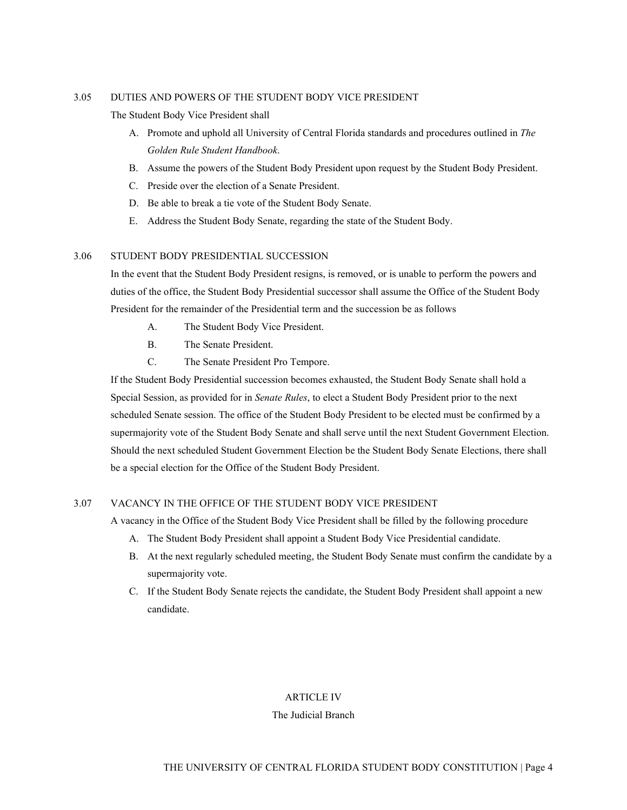## 3.05 DUTIES AND POWERS OF THE STUDENT BODY VICE PRESIDENT

The Student Body Vice President shall

- A. Promote and uphold all University of Central Florida standards and procedures outlined in *The Golden Rule Student Handbook*.
- B. Assume the powers of the Student Body President upon request by the Student Body President.
- C. Preside over the election of a Senate President.
- D. Be able to break a tie vote of the Student Body Senate.
- E. Address the Student Body Senate, regarding the state of the Student Body.

# 3.06 STUDENT BODY PRESIDENTIAL SUCCESSION

In the event that the Student Body President resigns, is removed, or is unable to perform the powers and duties of the office, the Student Body Presidential successor shall assume the Office of the Student Body President for the remainder of the Presidential term and the succession be as follows

- A. The Student Body Vice President.
- B. The Senate President.
- C. The Senate President Pro Tempore.

If the Student Body Presidential succession becomes exhausted, the Student Body Senate shall hold a Special Session, as provided for in *Senate Rules*, to elect a Student Body President prior to the next scheduled Senate session. The office of the Student Body President to be elected must be confirmed by a supermajority vote of the Student Body Senate and shall serve until the next Student Government Election. Should the next scheduled Student Government Election be the Student Body Senate Elections, there shall be a special election for the Office of the Student Body President.

### 3.07 VACANCY IN THE OFFICE OF THE STUDENT BODY VICE PRESIDENT

A vacancy in the Office of the Student Body Vice President shall be filled by the following procedure

- A. The Student Body President shall appoint a Student Body Vice Presidential candidate.
- B. At the next regularly scheduled meeting, the Student Body Senate must confirm the candidate by a supermajority vote.
- C. If the Student Body Senate rejects the candidate, the Student Body President shall appoint a new candidate.

# ARTICLE IV

### The Judicial Branch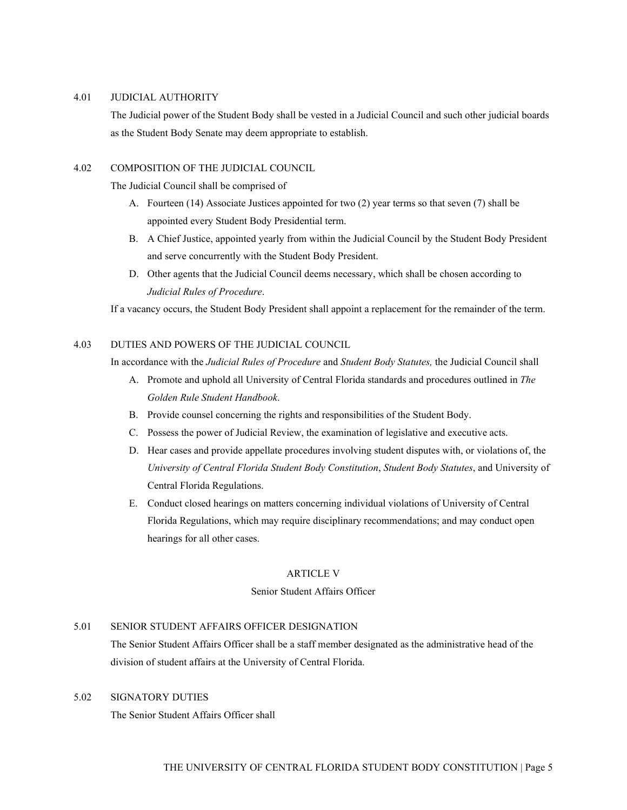#### 4.01 JUDICIAL AUTHORITY

The Judicial power of the Student Body shall be vested in a Judicial Council and such other judicial boards as the Student Body Senate may deem appropriate to establish.

# 4.02 COMPOSITION OF THE JUDICIAL COUNCIL

The Judicial Council shall be comprised of

- A. Fourteen (14) Associate Justices appointed for two (2) year terms so that seven (7) shall be appointed every Student Body Presidential term.
- B. A Chief Justice, appointed yearly from within the Judicial Council by the Student Body President and serve concurrently with the Student Body President.
- D. Other agents that the Judicial Council deems necessary, which shall be chosen according to *Judicial Rules of Procedure*.

If a vacancy occurs, the Student Body President shall appoint a replacement for the remainder of the term.

# 4.03 DUTIES AND POWERS OF THE JUDICIAL COUNCIL

In accordance with the *Judicial Rules of Procedure* and *Student Body Statutes,* the Judicial Council shall

- A. Promote and uphold all University of Central Florida standards and procedures outlined in *The Golden Rule Student Handbook*.
- B. Provide counsel concerning the rights and responsibilities of the Student Body.
- C. Possess the power of Judicial Review, the examination of legislative and executive acts.
- D. Hear cases and provide appellate procedures involving student disputes with, or violations of, the *University of Central Florida Student Body Constitution*, *Student Body Statutes*, and University of Central Florida Regulations.
- E. Conduct closed hearings on matters concerning individual violations of University of Central Florida Regulations, which may require disciplinary recommendations; and may conduct open hearings for all other cases.

### ARTICLE V

# Senior Student Affairs Officer

### 5.01 SENIOR STUDENT AFFAIRS OFFICER DESIGNATION

The Senior Student Affairs Officer shall be a staff member designated as the administrative head of the division of student affairs at the University of Central Florida.

# 5.02 SIGNATORY DUTIES

The Senior Student Affairs Officer shall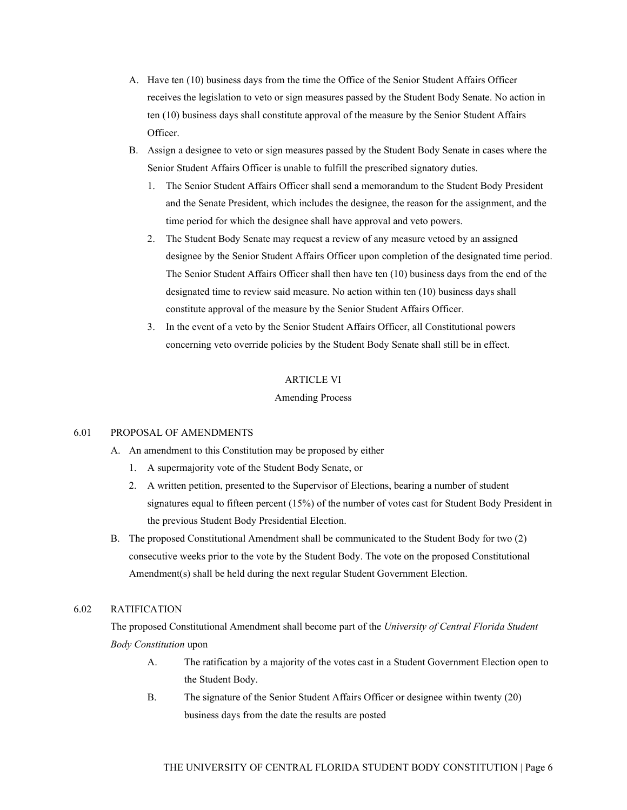- A. Have ten (10) business days from the time the Office of the Senior Student Affairs Officer receives the legislation to veto or sign measures passed by the Student Body Senate. No action in ten (10) business days shall constitute approval of the measure by the Senior Student Affairs Officer.
- B. Assign a designee to veto or sign measures passed by the Student Body Senate in cases where the Senior Student Affairs Officer is unable to fulfill the prescribed signatory duties.
	- 1. The Senior Student Affairs Officer shall send a memorandum to the Student Body President and the Senate President, which includes the designee, the reason for the assignment, and the time period for which the designee shall have approval and veto powers.
	- 2. The Student Body Senate may request a review of any measure vetoed by an assigned designee by the Senior Student Affairs Officer upon completion of the designated time period. The Senior Student Affairs Officer shall then have ten (10) business days from the end of the designated time to review said measure. No action within ten (10) business days shall constitute approval of the measure by the Senior Student Affairs Officer.
	- 3. In the event of a veto by the Senior Student Affairs Officer, all Constitutional powers concerning veto override policies by the Student Body Senate shall still be in effect.

## ARTICLE VI

## Amending Process

## 6.01 PROPOSAL OF AMENDMENTS

- A. An amendment to this Constitution may be proposed by either
	- 1. A supermajority vote of the Student Body Senate, or
	- 2. A written petition, presented to the Supervisor of Elections, bearing a number of student signatures equal to fifteen percent (15%) of the number of votes cast for Student Body President in the previous Student Body Presidential Election.
- B. The proposed Constitutional Amendment shall be communicated to the Student Body for two (2) consecutive weeks prior to the vote by the Student Body. The vote on the proposed Constitutional Amendment(s) shall be held during the next regular Student Government Election.

## 6.02 RATIFICATION

The proposed Constitutional Amendment shall become part of the *University of Central Florida Student Body Constitution* upon

- A. The ratification by a majority of the votes cast in a Student Government Election open to the Student Body.
- B. The signature of the Senior Student Affairs Officer or designee within twenty (20) business days from the date the results are posted